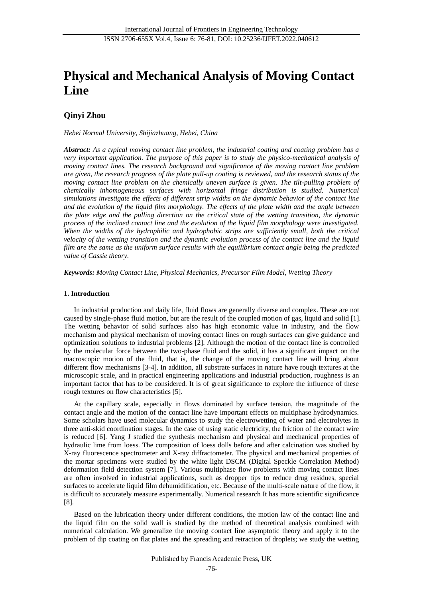# **Physical and Mechanical Analysis of Moving Contact Line**

# **Qinyi Zhou**

*Hebei Normal University, Shijiazhuang, Hebei, China*

*Abstract: As a typical moving contact line problem, the industrial coating and coating problem has a very important application. The purpose of this paper is to study the physico-mechanical analysis of moving contact lines. The research background and significance of the moving contact line problem are given, the research progress of the plate pull-up coating is reviewed, and the research status of the moving contact line problem on the chemically uneven surface is given. The tilt-pulling problem of chemically inhomogeneous surfaces with horizontal fringe distribution is studied. Numerical simulations investigate the effects of different strip widths on the dynamic behavior of the contact line and the evolution of the liquid film morphology. The effects of the plate width and the angle between the plate edge and the pulling direction on the critical state of the wetting transition, the dynamic process of the inclined contact line and the evolution of the liquid film morphology were investigated. When the widths of the hydrophilic and hydrophobic strips are sufficiently small, both the critical velocity of the wetting transition and the dynamic evolution process of the contact line and the liquid film are the same as the uniform surface results with the equilibrium contact angle being the predicted value of Cassie theory.*

*Keywords: Moving Contact Line, Physical Mechanics, Precursor Film Model, Wetting Theory*

## **1. Introduction**

In industrial production and daily life, fluid flows are generally diverse and complex. These are not caused by single-phase fluid motion, but are the result of the coupled motion of gas, liquid and solid [1]. The wetting behavior of solid surfaces also has high economic value in industry, and the flow mechanism and physical mechanism of moving contact lines on rough surfaces can give guidance and optimization solutions to industrial problems [2]. Although the motion of the contact line is controlled by the molecular force between the two-phase fluid and the solid, it has a significant impact on the macroscopic motion of the fluid, that is, the change of the moving contact line will bring about different flow mechanisms [3-4]. In addition, all substrate surfaces in nature have rough textures at the microscopic scale, and in practical engineering applications and industrial production, roughness is an important factor that has to be considered. It is of great significance to explore the influence of these rough textures on flow characteristics [5].

At the capillary scale, especially in flows dominated by surface tension, the magnitude of the contact angle and the motion of the contact line have important effects on multiphase hydrodynamics. Some scholars have used molecular dynamics to study the electrowetting of water and electrolytes in three anti-skid coordination stages. In the case of using static electricity, the friction of the contact wire is reduced [6]. Yang J studied the synthesis mechanism and physical and mechanical properties of hydraulic lime from loess. The composition of loess dolls before and after calcination was studied by X-ray fluorescence spectrometer and X-ray diffractometer. The physical and mechanical properties of the mortar specimens were studied by the white light DSCM (Digital Speckle Correlation Method) deformation field detection system [7]. Various multiphase flow problems with moving contact lines are often involved in industrial applications, such as dropper tips to reduce drug residues, special surfaces to accelerate liquid film dehumidification, etc. Because of the multi-scale nature of the flow, it is difficult to accurately measure experimentally. Numerical research It has more scientific significance [8].

Based on the lubrication theory under different conditions, the motion law of the contact line and the liquid film on the solid wall is studied by the method of theoretical analysis combined with numerical calculation. We generalize the moving contact line asymptotic theory and apply it to the problem of dip coating on flat plates and the spreading and retraction of droplets; we study the wetting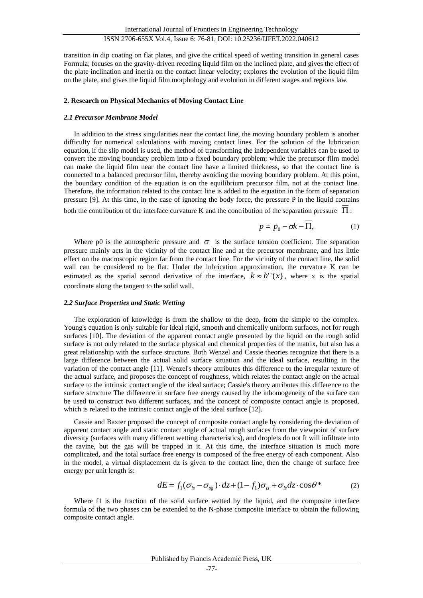transition in dip coating on flat plates, and give the critical speed of wetting transition in general cases Formula; focuses on the gravity-driven receding liquid film on the inclined plate, and gives the effect of the plate inclination and inertia on the contact linear velocity; explores the evolution of the liquid film on the plate, and gives the liquid film morphology and evolution in different stages and regions law.

#### **2. Research on Physical Mechanics of Moving Contact Line**

#### *2.1 Precursor Membrane Model*

In addition to the stress singularities near the contact line, the moving boundary problem is another difficulty for numerical calculations with moving contact lines. For the solution of the lubrication equation, if the slip model is used, the method of transforming the independent variables can be used to convert the moving boundary problem into a fixed boundary problem; while the precursor film model can make the liquid film near the contact line have a limited thickness, so that the contact line is connected to a balanced precursor film, thereby avoiding the moving boundary problem. At this point, the boundary condition of the equation is on the equilibrium precursor film, not at the contact line. Therefore, the information related to the contact line is added to the equation in the form of separation pressure [9]. At this time, in the case of ignoring the body force, the pressure P in the liquid contains

both the contribution of the interface curvature K and the contribution of the separation pressure  $\Pi$ :

$$
p = p_0 - \sigma k - \Pi,\tag{1}
$$

Where p0 is the atmospheric pressure and  $\sigma$  is the surface tension coefficient. The separation pressure mainly acts in the vicinity of the contact line and at the precursor membrane, and has little effect on the macroscopic region far from the contact line. For the vicinity of the contact line, the solid wall can be considered to be flat. Under the lubrication approximation, the curvature K can be estimated as the spatial second derivative of the interface,  $k \approx h''(x)$ , where x is the spatial coordinate along the tangent to the solid wall.

#### *2.2 Surface Properties and Static Wetting*

The exploration of knowledge is from the shallow to the deep, from the simple to the complex. Young's equation is only suitable for ideal rigid, smooth and chemically uniform surfaces, not for rough surfaces [10]. The deviation of the apparent contact angle presented by the liquid on the rough solid surface is not only related to the surface physical and chemical properties of the matrix, but also has a great relationship with the surface structure. Both Wenzel and Cassie theories recognize that there is a large difference between the actual solid surface situation and the ideal surface, resulting in the variation of the contact angle [11]. Wenzel's theory attributes this difference to the irregular texture of the actual surface, and proposes the concept of roughness, which relates the contact angle on the actual surface to the intrinsic contact angle of the ideal surface; Cassie's theory attributes this difference to the surface structure The difference in surface free energy caused by the inhomogeneity of the surface can be used to construct two different surfaces, and the concept of composite contact angle is proposed, which is related to the intrinsic contact angle of the ideal surface [12].

Cassie and Baxter proposed the concept of composite contact angle by considering the deviation of apparent contact angle and static contact angle of actual rough surfaces from the viewpoint of surface diversity (surfaces with many different wetting characteristics), and droplets do not It will infiltrate into the ravine, but the gas will be trapped in it. At this time, the interface situation is much more complicated, and the total surface free energy is composed of the free energy of each component. Also in the model, a virtual displacement dz is given to the contact line, then the change of surface free energy per unit length is:

$$
dE = f_1(\sigma_{ls} - \sigma_{sg}) \cdot dz + (1 - f_1)\sigma_{ls} + \sigma_{ls} dz \cdot \cos\theta^* \tag{2}
$$

Where f1 is the fraction of the solid surface wetted by the liquid, and the composite interface formula of the two phases can be extended to the N-phase composite interface to obtain the following composite contact angle.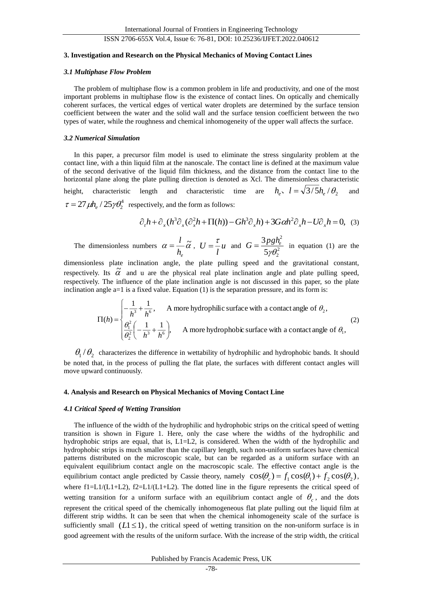#### **3. Investigation and Research on the Physical Mechanics of Moving Contact Lines**

#### *3.1 Multiphase Flow Problem*

The problem of multiphase flow is a common problem in life and productivity, and one of the most important problems in multiphase flow is the existence of contact lines. On optically and chemically coherent surfaces, the vertical edges of vertical water droplets are determined by the surface tension coefficient between the water and the solid wall and the surface tension coefficient between the two types of water, while the roughness and chemical inhomogeneity of the upper wall affects the surface.

## *3.2 Numerical Simulation*

In this paper, a precursor film model is used to eliminate the stress singularity problem at the contact line, with a thin liquid film at the nanoscale. The contact line is defined at the maximum value of the second derivative of the liquid film thickness, and the distance from the contact line to the horizontal plane along the plate pulling direction is denoted as Xcl. The dimensionless characteristic height, characteristic length and characteristic time are  $h_e$ ,  $l = \sqrt{3}/5h_e/\theta_2$ and  $\tau = 27 \mu h_e / 25 \gamma \theta_2^4$  respectively, and the form as follows:

$$
\partial_t h + \partial_x (h^3 \partial_x (\partial_x^2 h + \Pi(h)) - G h^3 \partial_x h) + 3G \alpha h^2 \partial_x h - U \partial_x h = 0, \quad (3)
$$

The dimensionless numbers  $\alpha = \frac{b}{h_e} \tilde{\alpha}$  $=\frac{l}{h}$   $\tilde{\alpha}$  ,  $U=\frac{\tau}{l}u$  $U = \frac{\tau}{l} u$  and  $G = \frac{3pgh}{5v^2}$ 2 2 5 3  $\partial \gamma \theta$  $G = \frac{3pgh_e^2}{\sigma^2}$  in equation (1) are the

dimensionless plate inclination angle, the plate pulling speed and the gravitational constant, respectively. Its  $\tilde{\alpha}$  and u are the physical real plate inclination angle and plate pulling speed, respectively. The influence of the plate inclination angle is not discussed in this paper, so the plate inclination angle  $a=1$  is a fixed value. Equation  $(1)$  is the separation pressure, and its form is:

$$
\Pi(h) = \begin{cases}\n-\frac{1}{h^3} + \frac{1}{h^6}, & \text{A more hydrophilic surface with a contact angle of } \theta_2, \\
\frac{\theta_1^2}{\theta_2^2} \left(-\frac{1}{h^3} + \frac{1}{h^6}\right), & \text{A more hydrophobic surface with a contact angle of } \theta_1,\n\end{cases}
$$
\n(2)

 $\theta_1/\theta_2$  characterizes the difference in wettability of hydrophilic and hydrophobic bands. It should be noted that, in the process of pulling the flat plate, the surfaces with different contact angles will move upward continuously.

### **4. Analysis and Research on Physical Mechanics of Moving Contact Line**

#### *4.1 Critical Speed of Wetting Transition*

The influence of the width of the hydrophilic and hydrophobic strips on the critical speed of wetting transition is shown in Figure 1. Here, only the case where the widths of the hydrophilic and hydrophobic strips are equal, that is, L1=L2, is considered. When the width of the hydrophilic and hydrophobic strips is much smaller than the capillary length, such non-uniform surfaces have chemical patterns distributed on the microscopic scale, but can be regarded as a uniform surface with an equivalent equilibrium contact angle on the macroscopic scale. The effective contact angle is the equilibrium contact angle predicted by Cassie theory, namely  $cos(\theta_c) = f_1 cos(\theta_1) + f_2 cos(\theta_2)$ , where f1=L1/(L1+L2), f2=L1/(L1+L2). The dotted line in the figure represents the critical speed of wetting transition for a uniform surface with an equilibrium contact angle of  $\theta_c$ , and the dots represent the critical speed of the chemically inhomogeneous flat plate pulling out the liquid film at different strip widths. It can be seen that when the chemical inhomogeneity scale of the surface is sufficiently small  $(L1 \leq 1)$ , the critical speed of wetting transition on the non-uniform surface is in good agreement with the results of the uniform surface. With the increase of the strip width, the critical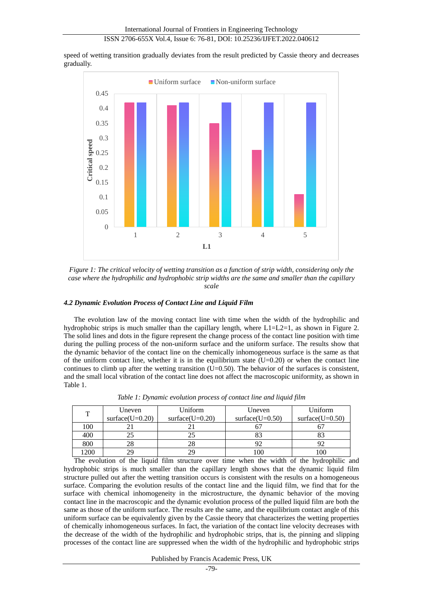speed of wetting transition gradually deviates from the result predicted by Cassie theory and decreases gradually.



*Figure 1: The critical velocity of wetting transition as a function of strip width, considering only the case where the hydrophilic and hydrophobic strip widths are the same and smaller than the capillary scale*

# *4.2 Dynamic Evolution Process of Contact Line and Liquid Film*

The evolution law of the moving contact line with time when the width of the hydrophilic and hydrophobic strips is much smaller than the capillary length, where L1=L2=1, as shown in Figure 2. The solid lines and dots in the figure represent the change process of the contact line position with time during the pulling process of the non-uniform surface and the uniform surface. The results show that the dynamic behavior of the contact line on the chemically inhomogeneous surface is the same as that of the uniform contact line, whether it is in the equilibrium state  $(U=0.20)$  or when the contact line continues to climb up after the wetting transition  $(U=0.50)$ . The behavior of the surfaces is consistent, and the small local vibration of the contact line does not affect the macroscopic uniformity, as shown in Table 1.

| T    | Uneven             | Uniform            | Uneven              | Uniform            |
|------|--------------------|--------------------|---------------------|--------------------|
|      | surface $(U=0.20)$ | surface $(U=0.20)$ | surface( $U=0.50$ ) | surface $(U=0.50)$ |
| 100  |                    |                    |                     |                    |
| 400  |                    |                    |                     |                    |
| 800  | 28                 | 28                 |                     |                    |
| 1200 |                    | 29                 | 100                 | 100                |

*Table 1: Dynamic evolution process of contact line and liquid film*

The evolution of the liquid film structure over time when the width of the hydrophilic and hydrophobic strips is much smaller than the capillary length shows that the dynamic liquid film structure pulled out after the wetting transition occurs is consistent with the results on a homogeneous surface. Comparing the evolution results of the contact line and the liquid film, we find that for the surface with chemical inhomogeneity in the microstructure, the dynamic behavior of the moving contact line in the macroscopic and the dynamic evolution process of the pulled liquid film are both the same as those of the uniform surface. The results are the same, and the equilibrium contact angle of this uniform surface can be equivalently given by the Cassie theory that characterizes the wetting properties of chemically inhomogeneous surfaces. In fact, the variation of the contact line velocity decreases with the decrease of the width of the hydrophilic and hydrophobic strips, that is, the pinning and slipping processes of the contact line are suppressed when the width of the hydrophilic and hydrophobic strips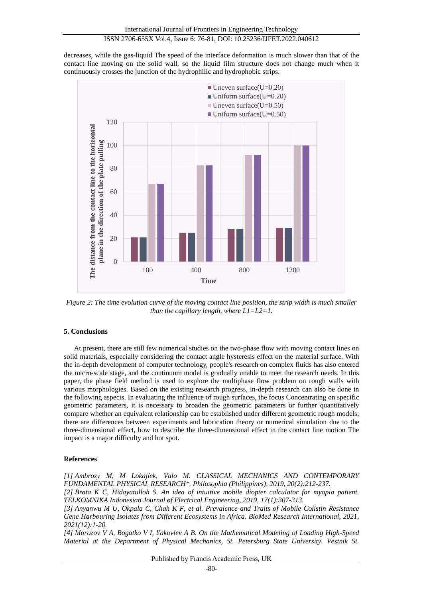decreases, while the gas-liquid The speed of the interface deformation is much slower than that of the contact line moving on the solid wall, so the liquid film structure does not change much when it continuously crosses the junction of the hydrophilic and hydrophobic strips.



*Figure 2: The time evolution curve of the moving contact line position, the strip width is much smaller than the capillary length, where L1=L2=1.*

## **5. Conclusions**

At present, there are still few numerical studies on the two-phase flow with moving contact lines on solid materials, especially considering the contact angle hysteresis effect on the material surface. With the in-depth development of computer technology, people's research on complex fluids has also entered the micro-scale stage, and the continuum model is gradually unable to meet the research needs. In this paper, the phase field method is used to explore the multiphase flow problem on rough walls with various morphologies. Based on the existing research progress, in-depth research can also be done in the following aspects. In evaluating the influence of rough surfaces, the focus Concentrating on specific geometric parameters, it is necessary to broaden the geometric parameters or further quantitatively compare whether an equivalent relationship can be established under different geometric rough models; there are differences between experiments and lubrication theory or numerical simulation due to the three-dimensional effect, how to describe the three-dimensional effect in the contact line motion The impact is a major difficulty and hot spot.

## **References**

*[1] Ambrozy M, M Lokajíek, Valo M. CLASSICAL MECHANICS AND CONTEMPORARY FUNDAMENTAL PHYSICAL RESEARCH\*. Philosophia (Philippines), 2019, 20(2):212-237.*

*[2] Brata K C, Hidayatulloh S. An idea of intuitive mobile diopter calculator for myopia patient. TELKOMNIKA Indonesian Journal of Electrical Engineering, 2019, 17(1):307-313.*

*[3] Anyanwu M U, Okpala C, Chah K F, et al. Prevalence and Traits of Mobile Colistin Resistance Gene Harbouring Isolates from Different Ecosystems in Africa. BioMed Research International, 2021, 2021(12):1-20.*

*[4] Morozov V A, Bogatko V I, Yakovlev A B. On the Mathematical Modeling of Loading High-Speed Material at the Department of Physical Mechanics, St. Petersburg State University. Vestnik St.*